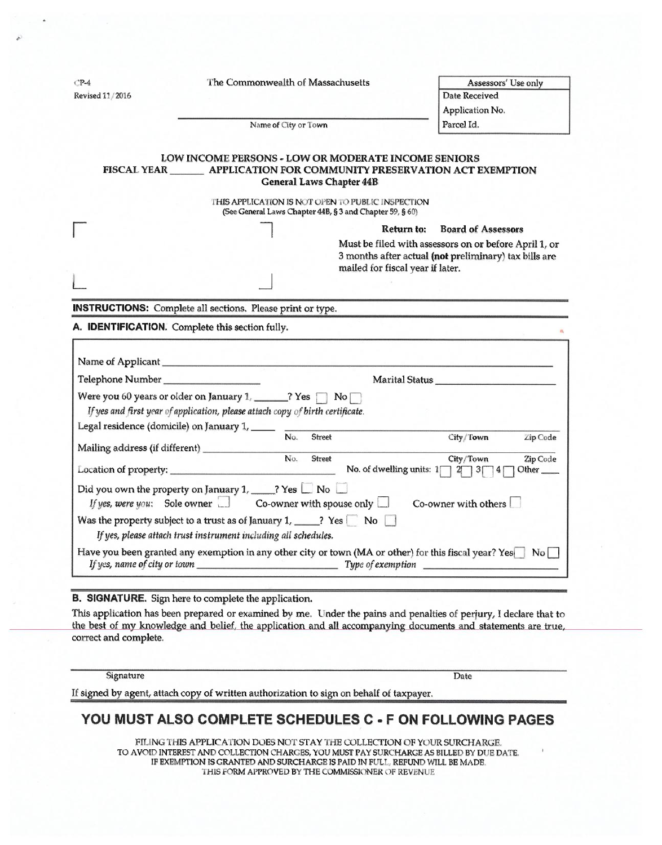| $CP-4$           | The Commonwealth of Massachusetts                                                                                                                                     |                                        | Assessors' Use only                                   |              |
|------------------|-----------------------------------------------------------------------------------------------------------------------------------------------------------------------|----------------------------------------|-------------------------------------------------------|--------------|
| Revised 11/2016  |                                                                                                                                                                       |                                        | Date Received                                         |              |
|                  |                                                                                                                                                                       |                                        | Application No.                                       |              |
|                  | Name of City or Town                                                                                                                                                  |                                        | Parcel Id.                                            |              |
|                  |                                                                                                                                                                       |                                        |                                                       |              |
|                  | LOW INCOME PERSONS - LOW OR MODERATE INCOME SENIORS                                                                                                                   |                                        |                                                       |              |
|                  | FISCAL YEAR _________ APPLICATION FOR COMMUNITY PRESERVATION ACT EXEMPTION                                                                                            |                                        |                                                       |              |
|                  | <b>General Laws Chapter 44B</b>                                                                                                                                       |                                        |                                                       |              |
|                  | THIS APPLICATION IS NOT OPEN TO PUBLIC INSPECTION<br>(See General Laws Chapter 44B, § 3 and Chapter 59, § 60)                                                         |                                        |                                                       |              |
|                  |                                                                                                                                                                       | Return to:                             | <b>Board of Assessors</b>                             |              |
|                  |                                                                                                                                                                       |                                        | Must be filed with assessors on or before April 1, or |              |
|                  |                                                                                                                                                                       |                                        | 3 months after actual (not preliminary) tax bills are |              |
|                  |                                                                                                                                                                       | mailed for fiscal year if later.       |                                                       |              |
|                  |                                                                                                                                                                       |                                        |                                                       |              |
|                  |                                                                                                                                                                       |                                        |                                                       |              |
|                  | <b>INSTRUCTIONS:</b> Complete all sections. Please print or type.<br>A. IDENTIFICATION. Complete this section fully.                                                  |                                        |                                                       |              |
|                  |                                                                                                                                                                       |                                        |                                                       |              |
| Telephone Number |                                                                                                                                                                       |                                        | Marital Status                                        |              |
|                  | Were you 60 years or older on January 1, $\frac{1}{\sqrt{2}}$ Yes $\Box$ No $\Box$                                                                                    |                                        |                                                       |              |
|                  | If yes and first year of application, please attach copy of birth certificate.                                                                                        |                                        |                                                       |              |
|                  |                                                                                                                                                                       |                                        |                                                       |              |
|                  | Legal residence (domicile) on January $1, \_\_\_\_\_\_\_\_\_\_\_\_\_\_\_\_\_\_\$<br><b>Street</b>                                                                     |                                        | City/Town                                             | Zip Code     |
|                  | $\overline{N\circ}$ .<br>Street                                                                                                                                       |                                        | City/Town                                             |              |
|                  |                                                                                                                                                                       | No. of dwelling units: $1 \n  2 \n  3$ |                                                       | Other $\_\_$ |
|                  | Did you own the property on January 1, _____? Yes $\square$ No $\square$<br>If yes, were you: Sole owner $\Box$ Co-owner with spouse only $\Box$ Co-owner with others |                                        |                                                       |              |
|                  | Was the property subject to a trust as of January 1, _____? Yes $\Box$ No $\Box$<br>If yes, please attach trust instrument including all schedules.                   |                                        |                                                       | Zip Code     |

## B. SIGNATURE. Sign here to complete the application.

This application has been prepared or examined by me. Under the pains and penalties of perjury, I declare that to the best of my knowledge and belief, the application and all accompanying documents and statements are true, correct and complete.

**Signature** 

**Date** 

If signed by agent, attach copy of written authorization to sign on behalf of taxpayer.

# YOU MUST ALSO COMPLETE SCHEDULES C - F ON FOLLOWING PAGES

FILING THIS APPLICATION DOES NOT STAY THE COLLECTION OF YOUR SURCHARGE. TU AVOID INTEREST AND COLLECTION CHARGES, YOU MUST PAY SURCHARGE AS BILLED BY DUE DATE. IF EXEMPTION IS GRANTED AND SURCHARGE IS PAID 1N FULL, REFUND WILL BE MADfi. THIS FORM APPROVED BY THE COMMISSIONER OF REVENUE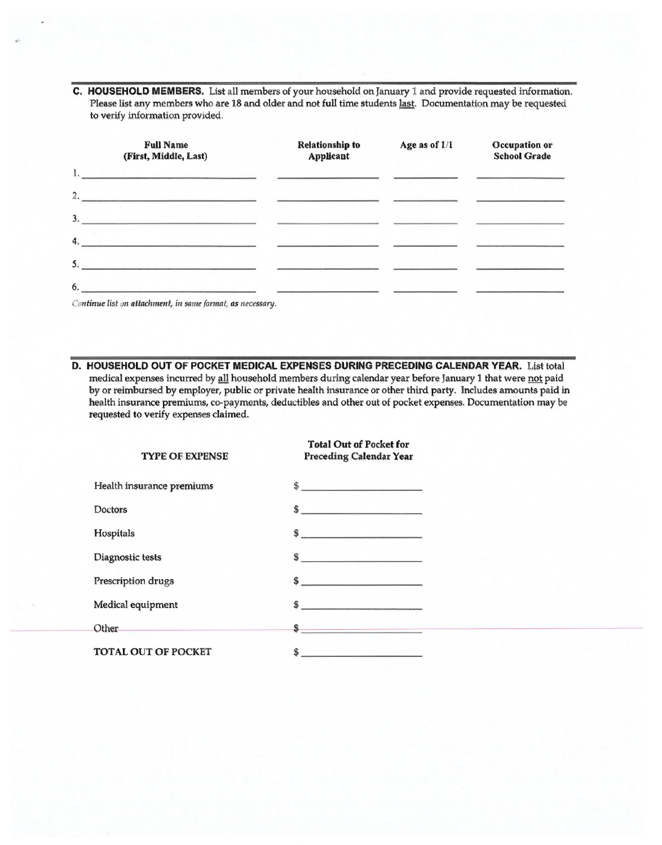C. HOUSEHOLD MEMBERS. List all members of your household on January 1 and provide requested information. Please list any members who are 18 and older and not full time students last. Documentation may be requested to verify information provided.

|    | <b>Full Name</b><br>(First, Middle, Last)                                                                                                                                                                                            | <b>Relationship to</b><br>Applicant | Age as of 1/1 | Occupation or<br><b>School Grade</b> |
|----|--------------------------------------------------------------------------------------------------------------------------------------------------------------------------------------------------------------------------------------|-------------------------------------|---------------|--------------------------------------|
| 1. | <u>and the state of the state of the state of the state of the state of the state of the state of the state of the state of the state of the state of the state of the state of the state of the state of the state of the state</u> |                                     |               |                                      |
| 2. |                                                                                                                                                                                                                                      |                                     |               |                                      |
| 3. |                                                                                                                                                                                                                                      |                                     |               |                                      |
|    | $\mathbf{4.}$ . The contract of the contract of the contract of the contract of the contract of the contract of the contract of the contract of the contract of the contract of the contract of the contract of the contract of t    |                                     |               |                                      |
|    |                                                                                                                                                                                                                                      |                                     |               |                                      |
|    |                                                                                                                                                                                                                                      |                                     |               |                                      |

Continue list on attachment, in same format, as necessary.

D. HOUSEHOLD OUT OF POCKET MEDICAL EXPENSES DURING PRECEDING CALENDAR YEAR. List total

medical expenses incurred by all household members during calendar year before January 1 that were not paid by or reimbursed by employer, public or private health insurance or other third party. Includes amounts paid in health insurance premiums, co-payments, deductibles and other out of pocket expenses. Documentation maybe requested to verify expenses claimed.

| <b>TYPE OF EXPENSE</b>                              | <b>Total Out of Pocket for</b><br><b>Preceding Calendar Year</b>                                                                                                                                                                 |
|-----------------------------------------------------|----------------------------------------------------------------------------------------------------------------------------------------------------------------------------------------------------------------------------------|
| Health insurance premiums                           | $\frac{1}{2}$                                                                                                                                                                                                                    |
| Doctors                                             | $\frac{1}{2}$                                                                                                                                                                                                                    |
| Hospitals                                           |                                                                                                                                                                                                                                  |
| Diagnostic tests                                    | $\sim$                                                                                                                                                                                                                           |
| Prescription drugs                                  |                                                                                                                                                                                                                                  |
| Medical equipment                                   | $\frac{1}{2}$ , which is a set of the set of the set of the set of the set of the set of the set of the set of the set of the set of the set of the set of the set of the set of the set of the set of the set of the set of the |
| Other<br>and the state of the state of the state of | <u> 1975 – John Marie Barnett, s</u>                                                                                                                                                                                             |
| <b>TOTAL OUT OF POCKET</b>                          | Ŝ<br>ويترافى والمساورات وأرموه والمتحول والمتعارف                                                                                                                                                                                |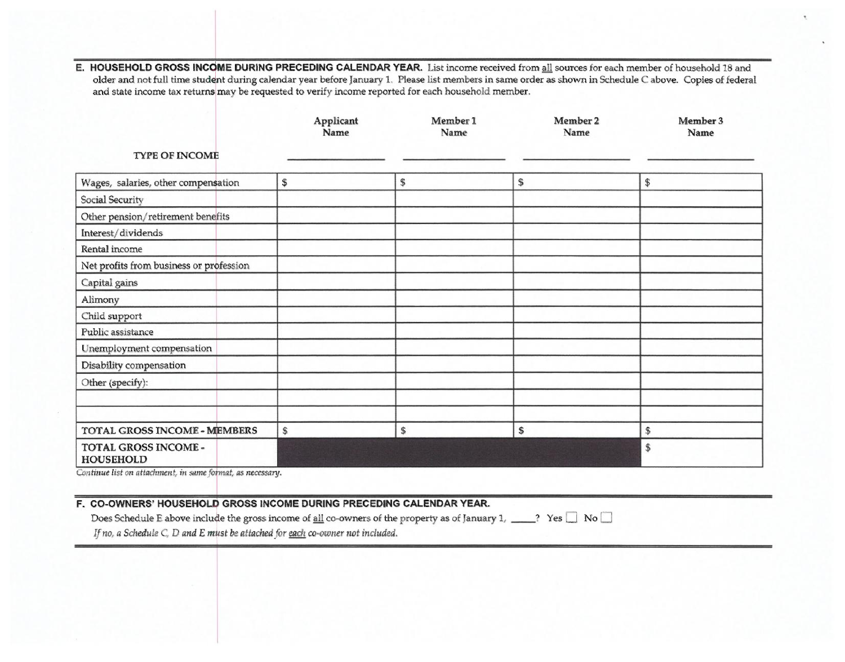E. HOUSEHOLD GROSS INCOME DURING PRECEDING CALENDAR YEAR. List income received from all sources for each member of household 18 and older and not full time student during calendar year before January 1. Please list members in same order as shown in Schedule C above. Copies of federal and state income tax returns may be requested to verify income reported for each household member.

| <b>TYPE OF INCOME</b>                    | Applicant<br>Name | Member 1<br>Name | Member 2<br>Name | Member 3<br>Name |
|------------------------------------------|-------------------|------------------|------------------|------------------|
| Wages, salaries, other compensation      | $\mathbb{S}$      | $\mathbb{S}$     | \$               | \$               |
| Social Security                          |                   |                  |                  |                  |
| Other pension/retirement benefits        |                   |                  |                  |                  |
| Interest/dividends                       |                   |                  |                  |                  |
| Rental income                            |                   |                  |                  |                  |
| Net profits from business or profession  |                   |                  |                  |                  |
| Capital gains                            |                   |                  |                  |                  |
| Alimony                                  |                   |                  |                  |                  |
| Child support                            |                   |                  |                  |                  |
| Public assistance                        |                   |                  |                  |                  |
| Unemployment compensation                |                   |                  |                  |                  |
| Disability compensation                  |                   |                  |                  |                  |
| Other (specify):                         |                   |                  |                  |                  |
|                                          |                   |                  |                  |                  |
|                                          |                   |                  |                  |                  |
| TOTAL GROSS INCOME - MEMBERS             | \$                | \$               | \$               | \$               |
| TOTAL GROSS INCOME -<br><b>HOUSEHOLD</b> |                   |                  |                  | \$               |

Continue list on attachment, in same format, as necessary.

# F. CO-OWNERS' HOUSEHOLD GROSS INCOME DURING PRECEDING CALENDAR YEAR.

Does Schedule E above include the gross income of all co-owners of the property as of January 1, \_\_\_\_? Yes  $\Box$  No  $\Box$ 

If no, a Schedule C, D and E must be attached for each co-owner not included.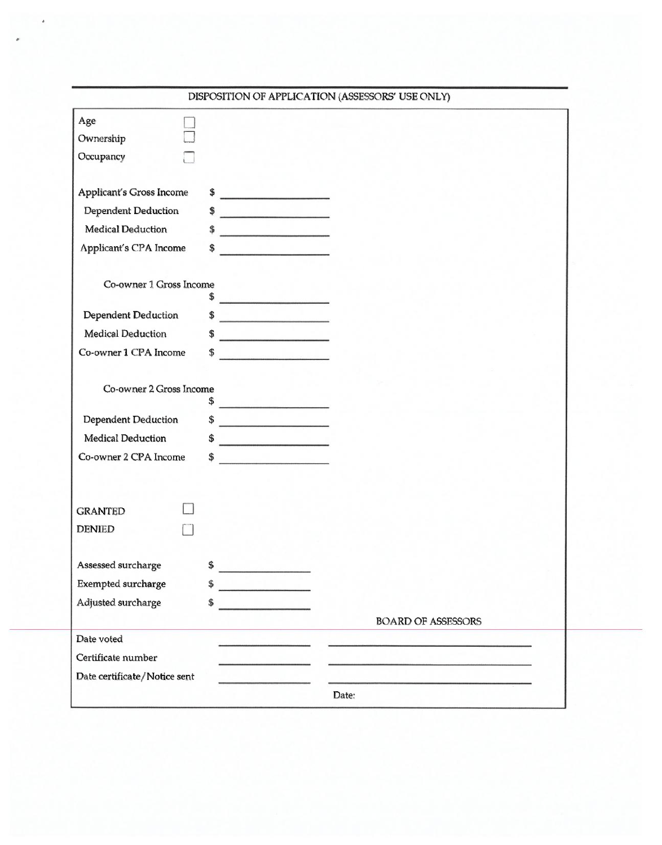|                                 |                                                                                                                                                                                                                                                                                                                                                                                                                                 |       | DISPOSITION OF APPLICATION (ASSESSORS' USE ONLY) |  |
|---------------------------------|---------------------------------------------------------------------------------------------------------------------------------------------------------------------------------------------------------------------------------------------------------------------------------------------------------------------------------------------------------------------------------------------------------------------------------|-------|--------------------------------------------------|--|
| Age                             |                                                                                                                                                                                                                                                                                                                                                                                                                                 |       |                                                  |  |
| Ownership                       |                                                                                                                                                                                                                                                                                                                                                                                                                                 |       |                                                  |  |
| Occupancy                       |                                                                                                                                                                                                                                                                                                                                                                                                                                 |       |                                                  |  |
|                                 |                                                                                                                                                                                                                                                                                                                                                                                                                                 |       |                                                  |  |
| <b>Applicant's Gross Income</b> | $\frac{1}{\sqrt{1-\frac{1}{2}}\sqrt{1-\frac{1}{2}}\sqrt{1-\frac{1}{2}}\sqrt{1-\frac{1}{2}}\sqrt{1-\frac{1}{2}}\sqrt{1-\frac{1}{2}}\sqrt{1-\frac{1}{2}}\sqrt{1-\frac{1}{2}}\sqrt{1-\frac{1}{2}}\sqrt{1-\frac{1}{2}}\sqrt{1-\frac{1}{2}}\sqrt{1-\frac{1}{2}}\sqrt{1-\frac{1}{2}}\sqrt{1-\frac{1}{2}}\sqrt{1-\frac{1}{2}}\sqrt{1-\frac{1}{2}}\sqrt{1-\frac{1}{2}}\sqrt{1-\frac{1}{2}}\sqrt{1-\frac{1}{2}}\sqrt{1-\frac$            |       |                                                  |  |
| <b>Dependent Deduction</b>      | $\frac{1}{\sqrt{1-\frac{1}{2}}\sqrt{1-\frac{1}{2}}\sqrt{1-\frac{1}{2}}\sqrt{1-\frac{1}{2}}\sqrt{1-\frac{1}{2}}\sqrt{1-\frac{1}{2}}\sqrt{1-\frac{1}{2}}\sqrt{1-\frac{1}{2}}\sqrt{1-\frac{1}{2}}\sqrt{1-\frac{1}{2}}\sqrt{1-\frac{1}{2}}\sqrt{1-\frac{1}{2}}\sqrt{1-\frac{1}{2}}\sqrt{1-\frac{1}{2}}\sqrt{1-\frac{1}{2}}\sqrt{1-\frac{1}{2}}\sqrt{1-\frac{1}{2}}\sqrt{1-\frac{1}{2}}\sqrt{1-\frac{1}{2}}\sqrt{1-\frac$            |       |                                                  |  |
| <b>Medical Deduction</b>        | $\sim$                                                                                                                                                                                                                                                                                                                                                                                                                          |       |                                                  |  |
| Applicant's CPA Income          | \$<br><b>Contact of the Common State</b>                                                                                                                                                                                                                                                                                                                                                                                        |       |                                                  |  |
|                                 |                                                                                                                                                                                                                                                                                                                                                                                                                                 |       |                                                  |  |
| Co-owner 1 Gross Income         |                                                                                                                                                                                                                                                                                                                                                                                                                                 |       |                                                  |  |
| <b>Dependent Deduction</b>      | $\frac{1}{2}$<br>$\frac{1}{\sqrt{1-\frac{1}{2}}-\frac{1}{2}}$                                                                                                                                                                                                                                                                                                                                                                   |       |                                                  |  |
| <b>Medical Deduction</b>        | $\frac{1}{\sqrt{1-\frac{1}{2}}}\frac{1}{\sqrt{1-\frac{1}{2}}}\frac{1}{\sqrt{1-\frac{1}{2}}}\frac{1}{\sqrt{1-\frac{1}{2}}}\frac{1}{\sqrt{1-\frac{1}{2}}}\frac{1}{\sqrt{1-\frac{1}{2}}}\frac{1}{\sqrt{1-\frac{1}{2}}}\frac{1}{\sqrt{1-\frac{1}{2}}}\frac{1}{\sqrt{1-\frac{1}{2}}}\frac{1}{\sqrt{1-\frac{1}{2}}}\frac{1}{\sqrt{1-\frac{1}{2}}}\frac{1}{\sqrt{1-\frac{1}{2}}}\frac{1}{\sqrt{1-\frac{1}{2}}}\frac{1}{\sqrt{1-\frac{$ |       |                                                  |  |
| Co-owner 1 CPA Income           | \$                                                                                                                                                                                                                                                                                                                                                                                                                              |       |                                                  |  |
|                                 |                                                                                                                                                                                                                                                                                                                                                                                                                                 |       |                                                  |  |
| Co-owner 2 Gross Income         |                                                                                                                                                                                                                                                                                                                                                                                                                                 |       |                                                  |  |
|                                 | \$                                                                                                                                                                                                                                                                                                                                                                                                                              |       |                                                  |  |
| <b>Dependent Deduction</b>      | $\frac{1}{2}$                                                                                                                                                                                                                                                                                                                                                                                                                   |       |                                                  |  |
| Medical Deduction               | \$                                                                                                                                                                                                                                                                                                                                                                                                                              |       |                                                  |  |
| Co-owner 2 CPA Income           | \$<br><u> San Angel (San Angel)</u>                                                                                                                                                                                                                                                                                                                                                                                             |       |                                                  |  |
|                                 |                                                                                                                                                                                                                                                                                                                                                                                                                                 |       |                                                  |  |
|                                 |                                                                                                                                                                                                                                                                                                                                                                                                                                 |       |                                                  |  |
| <b>GRANTED</b>                  |                                                                                                                                                                                                                                                                                                                                                                                                                                 |       |                                                  |  |
| <b>DENIED</b>                   |                                                                                                                                                                                                                                                                                                                                                                                                                                 |       |                                                  |  |
| Assessed surcharge              | \$                                                                                                                                                                                                                                                                                                                                                                                                                              |       |                                                  |  |
| Exempted surcharge              | \$                                                                                                                                                                                                                                                                                                                                                                                                                              |       |                                                  |  |
| Adjusted surcharge              | <u> Maria Maria Maria Maria Maria Maria Maria Maria Maria Maria Maria Maria Maria Maria Maria Maria Maria Maria M</u><br>\$                                                                                                                                                                                                                                                                                                     |       |                                                  |  |
|                                 |                                                                                                                                                                                                                                                                                                                                                                                                                                 |       | <b>BOARD OF ASSESSORS</b>                        |  |
| Date voted                      |                                                                                                                                                                                                                                                                                                                                                                                                                                 |       |                                                  |  |
| Certificate number              |                                                                                                                                                                                                                                                                                                                                                                                                                                 |       |                                                  |  |
| Date certificate/Notice sent    |                                                                                                                                                                                                                                                                                                                                                                                                                                 |       |                                                  |  |
|                                 |                                                                                                                                                                                                                                                                                                                                                                                                                                 | Date: |                                                  |  |
|                                 |                                                                                                                                                                                                                                                                                                                                                                                                                                 |       |                                                  |  |

 $\bullet$